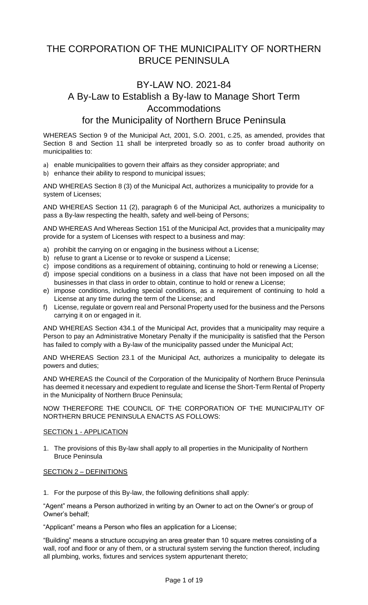# THE CORPORATION OF THE MUNICIPALITY OF NORTHERN BRUCE PENINSULA

# BY-LAW NO. 2021-84 A By-Law to Establish a By-law to Manage Short Term Accommodations

# for the Municipality of Northern Bruce Peninsula

WHEREAS Section 9 of the Municipal Act, 2001, S.O. 2001, c.25, as amended, provides that Section 8 and Section 11 shall be interpreted broadly so as to confer broad authority on municipalities to:

- a) enable municipalities to govern their affairs as they consider appropriate; and
- b) enhance their ability to respond to municipal issues;

AND WHEREAS Section 8 (3) of the Municipal Act, authorizes a municipality to provide for a system of Licenses;

AND WHEREAS Section 11 (2), paragraph 6 of the Municipal Act, authorizes a municipality to pass a By-law respecting the health, safety and well-being of Persons;

AND WHEREAS And Whereas Section 151 of the Municipal Act, provides that a municipality may provide for a system of Licenses with respect to a business and may:

- a) prohibit the carrying on or engaging in the business without a License;
- b) refuse to grant a License or to revoke or suspend a License;
- c) impose conditions as a requirement of obtaining, continuing to hold or renewing a License;
- d) impose special conditions on a business in a class that have not been imposed on all the businesses in that class in order to obtain, continue to hold or renew a License;
- e) impose conditions, including special conditions, as a requirement of continuing to hold a License at any time during the term of the License; and
- f) License, regulate or govern real and Personal Property used for the business and the Persons carrying it on or engaged in it.

AND WHEREAS Section 434.1 of the Municipal Act, provides that a municipality may require a Person to pay an Administrative Monetary Penalty if the municipality is satisfied that the Person has failed to comply with a By-law of the municipality passed under the Municipal Act;

AND WHEREAS Section 23.1 of the Municipal Act, authorizes a municipality to delegate its powers and duties;

AND WHEREAS the Council of the Corporation of the Municipality of Northern Bruce Peninsula has deemed it necessary and expedient to regulate and license the Short-Term Rental of Property in the Municipality of Northern Bruce Peninsula;

NOW THEREFORE THE COUNCIL OF THE CORPORATION OF THE MUNICIPALITY OF NORTHERN BRUCE PENINSULA ENACTS AS FOLLOWS:

### SECTION 1 - APPLICATION

1. The provisions of this By-law shall apply to all properties in the Municipality of Northern Bruce Peninsula

## SECTION 2 – DEFINITIONS

1. For the purpose of this By-law, the following definitions shall apply:

"Agent" means a Person authorized in writing by an Owner to act on the Owner's or group of Owner's behalf;

"Applicant" means a Person who files an application for a License;

"Building" means a structure occupying an area greater than 10 square metres consisting of a wall, roof and floor or any of them, or a structural system serving the function thereof, including all plumbing, works, fixtures and services system appurtenant thereto;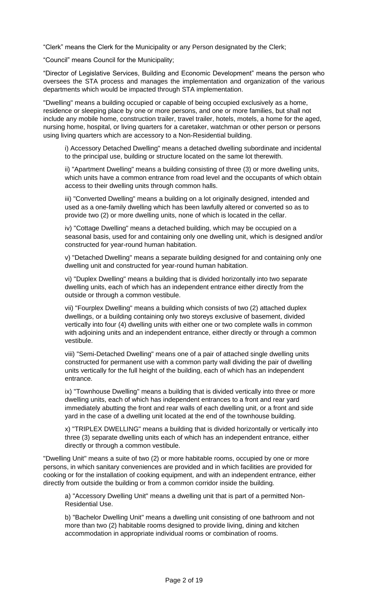"Clerk" means the Clerk for the Municipality or any Person designated by the Clerk;

"Council" means Council for the Municipality;

"Director of Legislative Services, Building and Economic Development" means the person who oversees the STA process and manages the implementation and organization of the various departments which would be impacted through STA implementation.

"Dwelling" means a building occupied or capable of being occupied exclusively as a home, residence or sleeping place by one or more persons, and one or more families, but shall not include any mobile home, construction trailer, travel trailer, hotels, motels, a home for the aged, nursing home, hospital, or living quarters for a caretaker, watchman or other person or persons using living quarters which are accessory to a Non-Residential building.

i) Accessory Detached Dwelling" means a detached dwelling subordinate and incidental to the principal use, building or structure located on the same lot therewith.

ii) "Apartment Dwelling" means a building consisting of three (3) or more dwelling units, which units have a common entrance from road level and the occupants of which obtain access to their dwelling units through common halls.

iii) "Converted Dwelling" means a building on a lot originally designed, intended and used as a one-family dwelling which has been lawfully altered or converted so as to provide two (2) or more dwelling units, none of which is located in the cellar.

iv) "Cottage Dwelling" means a detached building, which may be occupied on a seasonal basis, used for and containing only one dwelling unit, which is designed and/or constructed for year-round human habitation.

v) "Detached Dwelling" means a separate building designed for and containing only one dwelling unit and constructed for year-round human habitation.

vi) "Duplex Dwelling" means a building that is divided horizontally into two separate dwelling units, each of which has an independent entrance either directly from the outside or through a common vestibule.

vii) "Fourplex Dwelling" means a building which consists of two (2) attached duplex dwellings, or a building containing only two storeys exclusive of basement, divided vertically into four (4) dwelling units with either one or two complete walls in common with adjoining units and an independent entrance, either directly or through a common vestibule.

viii) "Semi-Detached Dwelling" means one of a pair of attached single dwelling units constructed for permanent use with a common party wall dividing the pair of dwelling units vertically for the full height of the building, each of which has an independent entrance.

ix) "Townhouse Dwelling" means a building that is divided vertically into three or more dwelling units, each of which has independent entrances to a front and rear yard immediately abutting the front and rear walls of each dwelling unit, or a front and side yard in the case of a dwelling unit located at the end of the townhouse building.

x) "TRIPLEX DWELLING" means a building that is divided horizontally or vertically into three (3) separate dwelling units each of which has an independent entrance, either directly or through a common vestibule.

"Dwelling Unit" means a suite of two (2) or more habitable rooms, occupied by one or more persons, in which sanitary conveniences are provided and in which facilities are provided for cooking or for the installation of cooking equipment, and with an independent entrance, either directly from outside the building or from a common corridor inside the building.

a) "Accessory Dwelling Unit" means a dwelling unit that is part of a permitted Non-Residential Use.

b) "Bachelor Dwelling Unit" means a dwelling unit consisting of one bathroom and not more than two (2) habitable rooms designed to provide living, dining and kitchen accommodation in appropriate individual rooms or combination of rooms.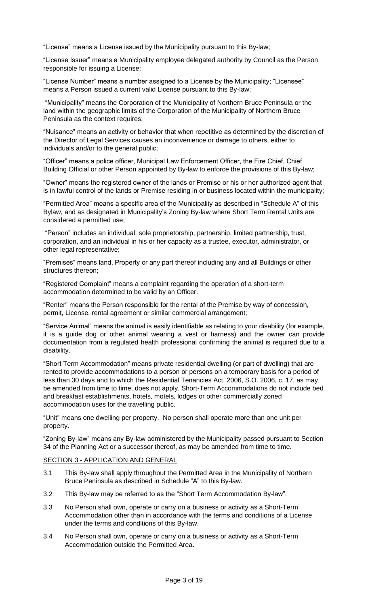"License" means a License issued by the Municipality pursuant to this By-law;

"License Issuer" means a Municipality employee delegated authority by Council as the Person responsible for issuing a License;

"License Number" means a number assigned to a License by the Municipality; "Licensee" means a Person issued a current valid License pursuant to this By-law;

"Municipality" means the Corporation of the Municipality of Northern Bruce Peninsula or the land within the geographic limits of the Corporation of the Municipality of Northern Bruce Peninsula as the context requires:

"Nuisance" means an activity or behavior that when repetitive as determined by the discretion of the Director of Legal Services causes an inconvenience or damage to others, either to individuals and/or to the general public;

"Officer" means a police officer, Municipal Law Enforcement Officer, the Fire Chief, Chief Building Official or other Person appointed by By-law to enforce the provisions of this By-law;

"Owner" means the registered owner of the lands or Premise or his or her authorized agent that is in lawful control of the lands or Premise residing in or business located within the municipality;

"Permitted Area" means a specific area of the Municipality as described in "Schedule A" of this Bylaw, and as designated in Municipality's Zoning By-law where Short Term Rental Units are considered a permitted use;

"Person" includes an individual, sole proprietorship, partnership, limited partnership, trust, corporation, and an individual in his or her capacity as a trustee, executor, administrator, or other legal representative;

"Premises" means land, Property or any part thereof including any and all Buildings or other structures thereon;

"Registered Complaint" means a complaint regarding the operation of a short-term accommodation determined to be valid by an Officer.

"Renter" means the Person responsible for the rental of the Premise by way of concession, permit, License, rental agreement or similar commercial arrangement;

"Service Animal" means the animal is easily identifiable as relating to your disability (for example, it is a guide dog or other animal wearing a vest or harness) and the owner can provide documentation from a regulated health professional confirming the animal is required due to a disability.

"Short Term Accommodation" means private residential dwelling (or part of dwelling) that are rented to provide accommodations to a person or persons on a temporary basis for a period of less than 30 days and to which the Residential Tenancies Act, 2006, S.O. 2006, c. 17, as may be amended from time to time, does not apply. Short-Term Accommodations do not include bed and breakfast establishments, hotels, motels, lodges or other commercially zoned accommodation uses for the travelling public.

"Unit" means one dwelling per property. No person shall operate more than one unit per property.

"Zoning By-law" means any By-law administered by the Municipality passed pursuant to Section 34 of the Planning Act or a successor thereof, as may be amended from time to time.

#### SECTION 3 - APPLICATION AND GENERAL

- 3.1 This By-law shall apply throughout the Permitted Area in the Municipality of Northern Bruce Peninsula as described in Schedule "A" to this By-law.
- 3.2 This By-law may be referred to as the "Short Term Accommodation By-law".
- 3.3 No Person shall own, operate or carry on a business or activity as a Short-Term Accommodation other than in accordance with the terms and conditions of a License under the terms and conditions of this By-law.
- 3.4 No Person shall own, operate or carry on a business or activity as a Short-Term Accommodation outside the Permitted Area.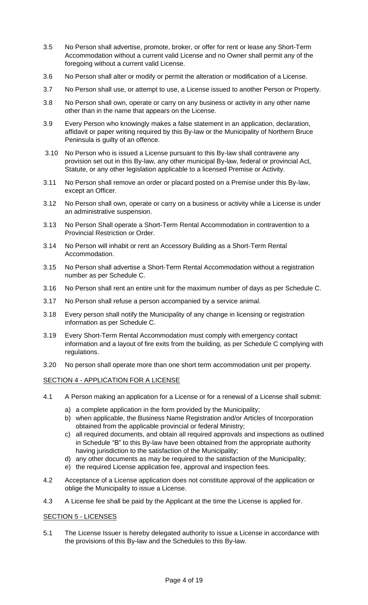- 3.5 No Person shall advertise, promote, broker, or offer for rent or lease any Short-Term Accommodation without a current valid License and no Owner shall permit any of the foregoing without a current valid License.
- 3.6 No Person shall alter or modify or permit the alteration or modification of a License.
- 3.7 No Person shall use, or attempt to use, a License issued to another Person or Property.
- 3.8 No Person shall own, operate or carry on any business or activity in any other name other than in the name that appears on the License.
- 3.9 Every Person who knowingly makes a false statement in an application, declaration, affidavit or paper writing required by this By-law or the Municipality of Northern Bruce Peninsula is guilty of an offence.
- 3.10 No Person who is issued a License pursuant to this By-law shall contravene any provision set out in this By-law, any other municipal By-law, federal or provincial Act, Statute, or any other legislation applicable to a licensed Premise or Activity.
- 3.11 No Person shall remove an order or placard posted on a Premise under this By-law, except an Officer.
- 3.12 No Person shall own, operate or carry on a business or activity while a License is under an administrative suspension.
- 3.13 No Person Shall operate a Short-Term Rental Accommodation in contravention to a Provincial Restriction or Order.
- 3.14 No Person will inhabit or rent an Accessory Building as a Short-Term Rental Accommodation.
- 3.15 No Person shall advertise a Short-Term Rental Accommodation without a registration number as per Schedule C.
- 3.16 No Person shall rent an entire unit for the maximum number of days as per Schedule C.
- 3.17 No Person shall refuse a person accompanied by a service animal.
- 3.18 Every person shall notify the Municipality of any change in licensing or registration information as per Schedule C.
- 3.19 Every Short-Term Rental Accommodation must comply with emergency contact information and a layout of fire exits from the building, as per Schedule C complying with regulations.
- 3.20 No person shall operate more than one short term accommodation unit per property.

### SECTION 4 - APPLICATION FOR A LICENSE

- 4.1 A Person making an application for a License or for a renewal of a License shall submit:
	- a) a complete application in the form provided by the Municipality;
	- b) when applicable, the Business Name Registration and/or Articles of Incorporation obtained from the applicable provincial or federal Ministry;
	- c) all required documents, and obtain all required approvals and inspections as outlined in Schedule "B" to this By-law have been obtained from the appropriate authority having jurisdiction to the satisfaction of the Municipality;
	- d) any other documents as may be required to the satisfaction of the Municipality;
	- e) the required License application fee, approval and inspection fees.
- 4.2 Acceptance of a License application does not constitute approval of the application or oblige the Municipality to issue a License.
- 4.3 A License fee shall be paid by the Applicant at the time the License is applied for.

#### SECTION 5 - LICENSES

5.1 The License Issuer is hereby delegated authority to issue a License in accordance with the provisions of this By-law and the Schedules to this By-law.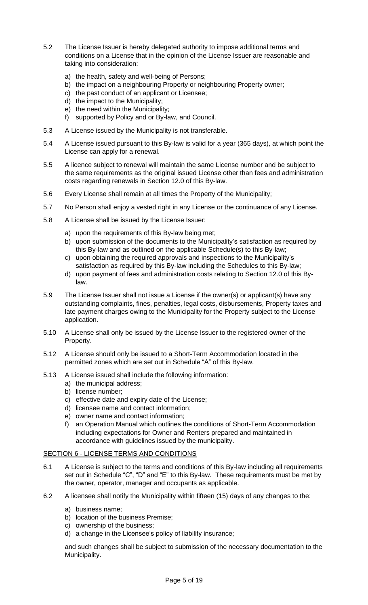- 5.2 The License Issuer is hereby delegated authority to impose additional terms and conditions on a License that in the opinion of the License Issuer are reasonable and taking into consideration:
	- a) the health, safety and well-being of Persons;
	- b) the impact on a neighbouring Property or neighbouring Property owner;
	- c) the past conduct of an applicant or Licensee;
	- d) the impact to the Municipality;
	- e) the need within the Municipality;
	- f) supported by Policy and or By-law, and Council.
- 5.3 A License issued by the Municipality is not transferable.
- 5.4 A License issued pursuant to this By-law is valid for a year (365 days), at which point the License can apply for a renewal.
- 5.5 A licence subject to renewal will maintain the same License number and be subject to the same requirements as the original issued License other than fees and administration costs regarding renewals in Section 12.0 of this By-law.
- 5.6 Every License shall remain at all times the Property of the Municipality;
- 5.7 No Person shall enjoy a vested right in any License or the continuance of any License.
- 5.8 A License shall be issued by the License Issuer:
	- a) upon the requirements of this By-law being met;
	- b) upon submission of the documents to the Municipality's satisfaction as required by this By-law and as outlined on the applicable Schedule(s) to this By-law;
	- c) upon obtaining the required approvals and inspections to the Municipality's satisfaction as required by this By-law including the Schedules to this By-law;
	- d) upon payment of fees and administration costs relating to Section 12.0 of this Bylaw.
- 5.9 The License Issuer shall not issue a License if the owner(s) or applicant(s) have any outstanding complaints, fines, penalties, legal costs, disbursements, Property taxes and late payment charges owing to the Municipality for the Property subject to the License application.
- 5.10 A License shall only be issued by the License Issuer to the registered owner of the Property.
- 5.12 A License should only be issued to a Short-Term Accommodation located in the permitted zones which are set out in Schedule "A" of this By-law.
- 5.13 A License issued shall include the following information:
	- a) the municipal address;
	- b) license number;
	- c) effective date and expiry date of the License;
	- d) licensee name and contact information;
	- e) owner name and contact information;
	- f) an Operation Manual which outlines the conditions of Short-Term Accommodation including expectations for Owner and Renters prepared and maintained in accordance with guidelines issued by the municipality.

#### SECTION 6 - LICENSE TERMS AND CONDITIONS

- 6.1 A License is subject to the terms and conditions of this By-law including all requirements set out in Schedule "C", "D" and "E" to this By-law. These requirements must be met by the owner, operator, manager and occupants as applicable.
- 6.2 A licensee shall notify the Municipality within fifteen (15) days of any changes to the:
	- a) business name;
	- b) location of the business Premise;
	- c) ownership of the business;
	- d) a change in the Licensee's policy of liability insurance;

and such changes shall be subject to submission of the necessary documentation to the Municipality.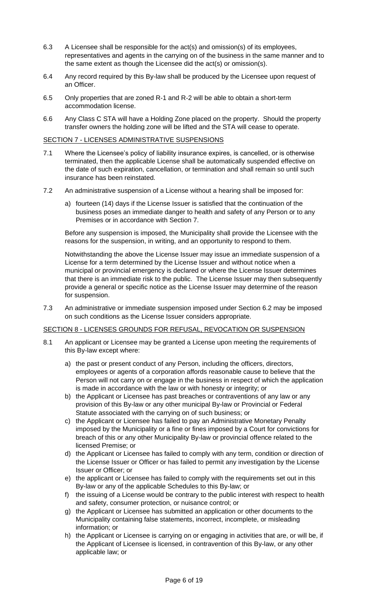- 6.3 A Licensee shall be responsible for the act(s) and omission(s) of its employees, representatives and agents in the carrying on of the business in the same manner and to the same extent as though the Licensee did the act(s) or omission(s).
- 6.4 Any record required by this By-law shall be produced by the Licensee upon request of an Officer.
- 6.5 Only properties that are zoned R-1 and R-2 will be able to obtain a short-term accommodation license.
- 6.6 Any Class C STA will have a Holding Zone placed on the property. Should the property transfer owners the holding zone will be lifted and the STA will cease to operate.

#### SECTION 7 - LICENSES ADMINISTRATIVE SUSPENSIONS

- 7.1 Where the Licensee's policy of liability insurance expires, is cancelled, or is otherwise terminated, then the applicable License shall be automatically suspended effective on the date of such expiration, cancellation, or termination and shall remain so until such insurance has been reinstated.
- 7.2 An administrative suspension of a License without a hearing shall be imposed for:
	- a) fourteen (14) days if the License Issuer is satisfied that the continuation of the business poses an immediate danger to health and safety of any Person or to any Premises or in accordance with Section 7.

Before any suspension is imposed, the Municipality shall provide the Licensee with the reasons for the suspension, in writing, and an opportunity to respond to them.

Notwithstanding the above the License Issuer may issue an immediate suspension of a License for a term determined by the License Issuer and without notice when a municipal or provincial emergency is declared or where the License Issuer determines that there is an immediate risk to the public. The License Issuer may then subsequently provide a general or specific notice as the License Issuer may determine of the reason for suspension.

7.3 An administrative or immediate suspension imposed under Section 6.2 may be imposed on such conditions as the License Issuer considers appropriate.

#### SECTION 8 - LICENSES GROUNDS FOR REFUSAL, REVOCATION OR SUSPENSION

- 8.1 An applicant or Licensee may be granted a License upon meeting the requirements of this By-law except where:
	- a) the past or present conduct of any Person, including the officers, directors, employees or agents of a corporation affords reasonable cause to believe that the Person will not carry on or engage in the business in respect of which the application is made in accordance with the law or with honesty or integrity; or
	- b) the Applicant or Licensee has past breaches or contraventions of any law or any provision of this By-law or any other municipal By-law or Provincial or Federal Statute associated with the carrying on of such business; or
	- c) the Applicant or Licensee has failed to pay an Administrative Monetary Penalty imposed by the Municipality or a fine or fines imposed by a Court for convictions for breach of this or any other Municipality By-law or provincial offence related to the licensed Premise; or
	- d) the Applicant or Licensee has failed to comply with any term, condition or direction of the License Issuer or Officer or has failed to permit any investigation by the License Issuer or Officer; or
	- e) the applicant or Licensee has failed to comply with the requirements set out in this By-law or any of the applicable Schedules to this By-law; or
	- f) the issuing of a License would be contrary to the public interest with respect to health and safety, consumer protection, or nuisance control; or
	- g) the Applicant or Licensee has submitted an application or other documents to the Municipality containing false statements, incorrect, incomplete, or misleading information; or
	- h) the Applicant or Licensee is carrying on or engaging in activities that are, or will be, if the Applicant of Licensee is licensed, in contravention of this By-law, or any other applicable law; or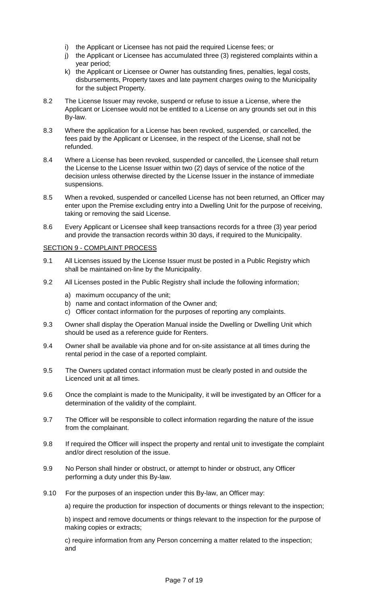- i) the Applicant or Licensee has not paid the required License fees; or
- j) the Applicant or Licensee has accumulated three (3) registered complaints within a year period;
- k) the Applicant or Licensee or Owner has outstanding fines, penalties, legal costs, disbursements, Property taxes and late payment charges owing to the Municipality for the subject Property.
- 8.2 The License Issuer may revoke, suspend or refuse to issue a License, where the Applicant or Licensee would not be entitled to a License on any grounds set out in this By-law.
- 8.3 Where the application for a License has been revoked, suspended, or cancelled, the fees paid by the Applicant or Licensee, in the respect of the License, shall not be refunded.
- 8.4 Where a License has been revoked, suspended or cancelled, the Licensee shall return the License to the License Issuer within two (2) days of service of the notice of the decision unless otherwise directed by the License Issuer in the instance of immediate suspensions.
- 8.5 When a revoked, suspended or cancelled License has not been returned, an Officer may enter upon the Premise excluding entry into a Dwelling Unit for the purpose of receiving, taking or removing the said License.
- 8.6 Every Applicant or Licensee shall keep transactions records for a three (3) year period and provide the transaction records within 30 days, if required to the Municipality.

## SECTION 9 - COMPLAINT PROCESS

- 9.1 All Licenses issued by the License Issuer must be posted in a Public Registry which shall be maintained on-line by the Municipality.
- 9.2 All Licenses posted in the Public Registry shall include the following information;
	- a) maximum occupancy of the unit;
	- b) name and contact information of the Owner and;
	- c) Officer contact information for the purposes of reporting any complaints.
- 9.3 Owner shall display the Operation Manual inside the Dwelling or Dwelling Unit which should be used as a reference guide for Renters.
- 9.4 Owner shall be available via phone and for on-site assistance at all times during the rental period in the case of a reported complaint.
- 9.5 The Owners updated contact information must be clearly posted in and outside the Licenced unit at all times.
- 9.6 Once the complaint is made to the Municipality, it will be investigated by an Officer for a determination of the validity of the complaint.
- 9.7 The Officer will be responsible to collect information regarding the nature of the issue from the complainant.
- 9.8 If required the Officer will inspect the property and rental unit to investigate the complaint and/or direct resolution of the issue.
- 9.9 No Person shall hinder or obstruct, or attempt to hinder or obstruct, any Officer performing a duty under this By-law.
- 9.10 For the purposes of an inspection under this By-law, an Officer may:
	- a) require the production for inspection of documents or things relevant to the inspection;

b) inspect and remove documents or things relevant to the inspection for the purpose of making copies or extracts;

c) require information from any Person concerning a matter related to the inspection; and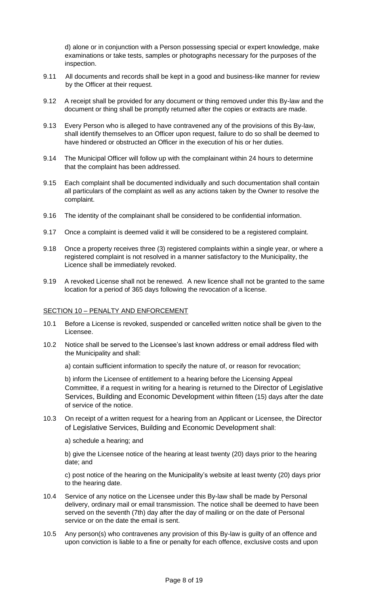d) alone or in conjunction with a Person possessing special or expert knowledge, make examinations or take tests, samples or photographs necessary for the purposes of the inspection.

- 9.11 All documents and records shall be kept in a good and business-like manner for review by the Officer at their request.
- 9.12 A receipt shall be provided for any document or thing removed under this By-law and the document or thing shall be promptly returned after the copies or extracts are made.
- 9.13 Every Person who is alleged to have contravened any of the provisions of this By-law, shall identify themselves to an Officer upon request, failure to do so shall be deemed to have hindered or obstructed an Officer in the execution of his or her duties.
- 9.14 The Municipal Officer will follow up with the complainant within 24 hours to determine that the complaint has been addressed.
- 9.15 Each complaint shall be documented individually and such documentation shall contain all particulars of the complaint as well as any actions taken by the Owner to resolve the complaint.
- 9.16 The identity of the complainant shall be considered to be confidential information.
- 9.17 Once a complaint is deemed valid it will be considered to be a registered complaint.
- 9.18 Once a property receives three (3) registered complaints within a single year, or where a registered complaint is not resolved in a manner satisfactory to the Municipality, the Licence shall be immediately revoked.
- 9.19 A revoked License shall not be renewed. A new licence shall not be granted to the same location for a period of 365 days following the revocation of a license.

#### SECTION 10 – PENALTY AND ENFORCEMENT

- 10.1 Before a License is revoked, suspended or cancelled written notice shall be given to the Licensee.
- 10.2 Notice shall be served to the Licensee's last known address or email address filed with the Municipality and shall:
	- a) contain sufficient information to specify the nature of, or reason for revocation;

b) inform the Licensee of entitlement to a hearing before the Licensing Appeal Committee, if a request in writing for a hearing is returned to the Director of Legislative Services, Building and Economic Development within fifteen (15) days after the date of service of the notice.

- 10.3 On receipt of a written request for a hearing from an Applicant or Licensee, the Director of Legislative Services, Building and Economic Development shall:
	- a) schedule a hearing; and

b) give the Licensee notice of the hearing at least twenty (20) days prior to the hearing date; and

c) post notice of the hearing on the Municipality's website at least twenty (20) days prior to the hearing date.

- 10.4 Service of any notice on the Licensee under this By-law shall be made by Personal delivery, ordinary mail or email transmission. The notice shall be deemed to have been served on the seventh (7th) day after the day of mailing or on the date of Personal service or on the date the email is sent.
- 10.5 Any person(s) who contravenes any provision of this By-law is guilty of an offence and upon conviction is liable to a fine or penalty for each offence, exclusive costs and upon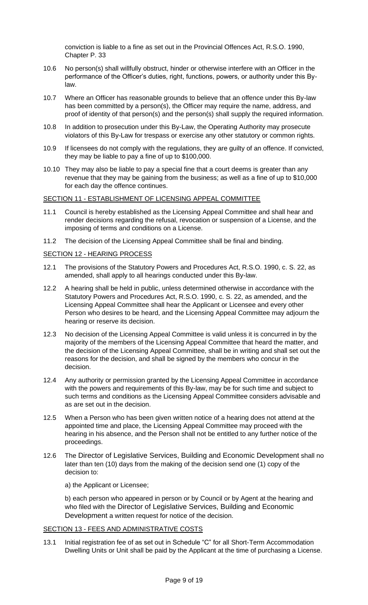conviction is liable to a fine as set out in the Provincial Offences Act, R.S.O. 1990, Chapter P. 33

- 10.6 No person(s) shall willfully obstruct, hinder or otherwise interfere with an Officer in the performance of the Officer's duties, right, functions, powers, or authority under this Bylaw.
- 10.7 Where an Officer has reasonable grounds to believe that an offence under this By-law has been committed by a person(s), the Officer may require the name, address, and proof of identity of that person(s) and the person(s) shall supply the required information.
- 10.8 In addition to prosecution under this By-Law, the Operating Authority may prosecute violators of this By-Law for trespass or exercise any other statutory or common rights.
- 10.9 If licensees do not comply with the regulations, they are guilty of an offence. If convicted, they may be liable to pay a fine of up to \$100,000.
- 10.10 They may also be liable to pay a special fine that a court deems is greater than any revenue that they may be gaining from the business; as well as a fine of up to \$10,000 for each day the offence continues.

### SECTION 11 - ESTABLISHMENT OF LICENSING APPEAL COMMITTEE

- 11.1 Council is hereby established as the Licensing Appeal Committee and shall hear and render decisions regarding the refusal, revocation or suspension of a License, and the imposing of terms and conditions on a License.
- 11.2 The decision of the Licensing Appeal Committee shall be final and binding.

### SECTION 12 - HEARING PROCESS

- 12.1 The provisions of the Statutory Powers and Procedures Act, R.S.O. 1990, c. S. 22, as amended, shall apply to all hearings conducted under this By-law.
- 12.2 A hearing shall be held in public, unless determined otherwise in accordance with the Statutory Powers and Procedures Act, R.S.O. 1990, c. S. 22, as amended, and the Licensing Appeal Committee shall hear the Applicant or Licensee and every other Person who desires to be heard, and the Licensing Appeal Committee may adjourn the hearing or reserve its decision.
- 12.3 No decision of the Licensing Appeal Committee is valid unless it is concurred in by the majority of the members of the Licensing Appeal Committee that heard the matter, and the decision of the Licensing Appeal Committee, shall be in writing and shall set out the reasons for the decision, and shall be signed by the members who concur in the decision.
- 12.4 Any authority or permission granted by the Licensing Appeal Committee in accordance with the powers and requirements of this By-law, may be for such time and subject to such terms and conditions as the Licensing Appeal Committee considers advisable and as are set out in the decision.
- 12.5 When a Person who has been given written notice of a hearing does not attend at the appointed time and place, the Licensing Appeal Committee may proceed with the hearing in his absence, and the Person shall not be entitled to any further notice of the proceedings.
- 12.6 The Director of Legislative Services, Building and Economic Development shall no later than ten (10) days from the making of the decision send one (1) copy of the decision to:

a) the Applicant or Licensee;

b) each person who appeared in person or by Council or by Agent at the hearing and who filed with the Director of Legislative Services, Building and Economic Development a written request for notice of the decision.

## SECTION 13 - FEES AND ADMINISTRATIVE COSTS

13.1 Initial registration fee of as set out in Schedule "C" for all Short-Term Accommodation Dwelling Units or Unit shall be paid by the Applicant at the time of purchasing a License.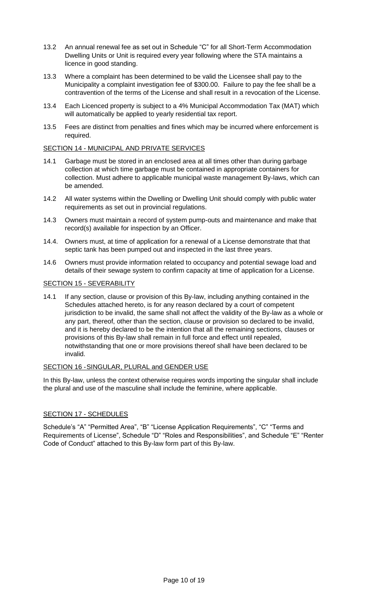- 13.2 An annual renewal fee as set out in Schedule "C" for all Short-Term Accommodation Dwelling Units or Unit is required every year following where the STA maintains a licence in good standing.
- 13.3 Where a complaint has been determined to be valid the Licensee shall pay to the Municipality a complaint investigation fee of \$300.00. Failure to pay the fee shall be a contravention of the terms of the License and shall result in a revocation of the License.
- 13.4 Each Licenced property is subject to a 4% Municipal Accommodation Tax (MAT) which will automatically be applied to yearly residential tax report.
- 13.5 Fees are distinct from penalties and fines which may be incurred where enforcement is required.

## SECTION 14 - MUNICIPAL AND PRIVATE SERVICES

- 14.1 Garbage must be stored in an enclosed area at all times other than during garbage collection at which time garbage must be contained in appropriate containers for collection. Must adhere to applicable municipal waste management By-laws, which can be amended.
- 14.2 All water systems within the Dwelling or Dwelling Unit should comply with public water requirements as set out in provincial regulations.
- 14.3 Owners must maintain a record of system pump-outs and maintenance and make that record(s) available for inspection by an Officer.
- 14.4. Owners must, at time of application for a renewal of a License demonstrate that that septic tank has been pumped out and inspected in the last three years.
- 14.6 Owners must provide information related to occupancy and potential sewage load and details of their sewage system to confirm capacity at time of application for a License.

#### **SECTION 15 - SEVERABILITY**

14.1 If any section, clause or provision of this By-law, including anything contained in the Schedules attached hereto, is for any reason declared by a court of competent jurisdiction to be invalid, the same shall not affect the validity of the By-law as a whole or any part, thereof, other than the section, clause or provision so declared to be invalid, and it is hereby declared to be the intention that all the remaining sections, clauses or provisions of this By-law shall remain in full force and effect until repealed, notwithstanding that one or more provisions thereof shall have been declared to be invalid.

#### SECTION 16 -SINGULAR, PLURAL and GENDER USE

In this By-law, unless the context otherwise requires words importing the singular shall include the plural and use of the masculine shall include the feminine, where applicable.

### SECTION 17 - SCHEDULES

Schedule's "A" "Permitted Area", "B" "License Application Requirements", "C" "Terms and Requirements of License", Schedule "D" "Roles and Responsibilities", and Schedule "E" "Renter Code of Conduct" attached to this By-law form part of this By-law.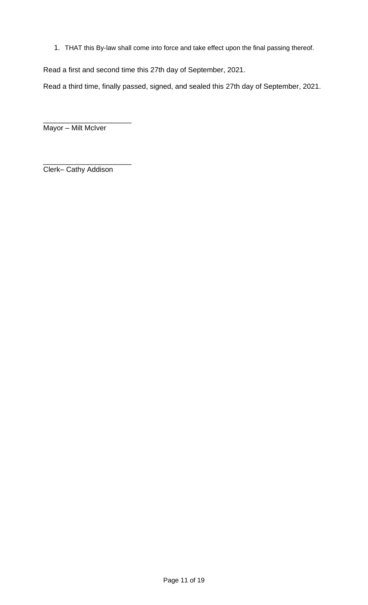1. THAT this By-law shall come into force and take effect upon the final passing thereof.

Read a first and second time this 27th day of September, 2021.

Read a third time, finally passed, signed, and sealed this 27th day of September, 2021.

Mayor – Milt McIver

\_\_\_\_\_\_\_\_\_\_\_\_\_\_\_\_\_\_\_\_\_\_

\_\_\_\_\_\_\_\_\_\_\_\_\_\_\_\_\_\_\_\_\_\_ Clerk– Cathy Addison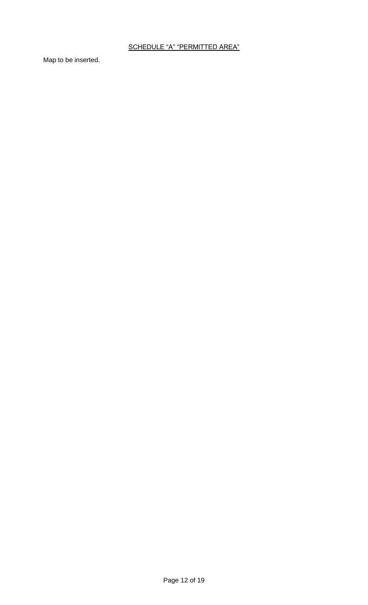# SCHEDULE "A" "PERMITTED AREA"

Map to be inserted.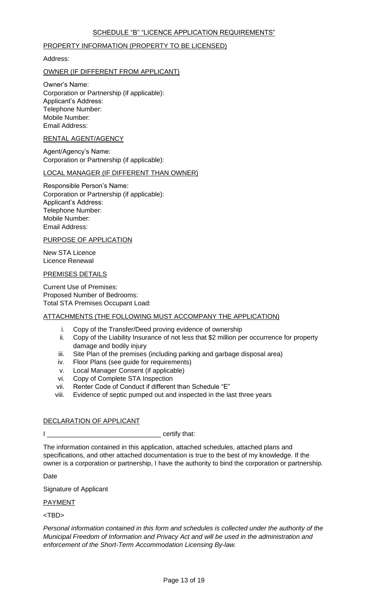## PROPERTY INFORMATION (PROPERTY TO BE LICENSED)

Address:

## OWNER (IF DIFFERENT FROM APPLICANT)

Owner's Name: Corporation or Partnership (if applicable): Applicant's Address: Telephone Number: Mobile Number: Email Address:

## RENTAL AGENT/AGENCY

Agent/Agency's Name: Corporation or Partnership (if applicable):

### LOCAL MANAGER (IF DIFFERENT THAN OWNER)

Responsible Person's Name: Corporation or Partnership (if applicable): Applicant's Address: Telephone Number: Mobile Number: Email Address:

PURPOSE OF APPLICATION

New STA Licence Licence Renewal

## PREMISES DETAILS

Current Use of Premises: Proposed Number of Bedrooms: Total STA Premises Occupant Load:

### ATTACHMENTS (THE FOLLOWING MUST ACCOMPANY THE APPLICATION)

- i. Copy of the Transfer/Deed proving evidence of ownership
- ii. Copy of the Liability Insurance of not less that \$2 million per occurrence for property damage and bodily injury
- iii. Site Plan of the premises (including parking and garbage disposal area) iv. Floor Plans (see guide for requirements)
- Floor Plans (see guide for requirements)
- v. Local Manager Consent (if applicable)
- 
- vi. Copy of Complete STA Inspection<br>vii. Renter Code of Conduct if differen Renter Code of Conduct if different than Schedule "E"
- viii. Evidence of septic pumped out and inspected in the last three years

### DECLARATION OF APPLICANT

```
\equiv certify that:
```
The information contained in this application, attached schedules, attached plans and specifications, and other attached documentation is true to the best of my knowledge. If the owner is a corporation or partnership, I have the authority to bind the corporation or partnership.

Date

Signature of Applicant

### PAYMENT

## <TBD>

*Personal information contained in this form and schedules is collected under the authority of the Municipal Freedom of Information and Privacy Act and will be used in the administration and enforcement of the Short-Term Accommodation Licensing By-law.*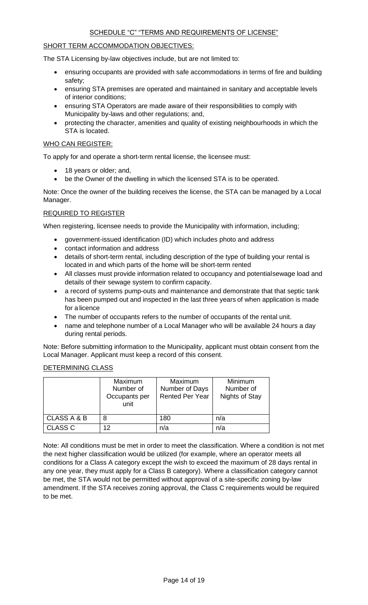## SHORT TERM ACCOMMODATION OBJECTIVES:

The STA Licensing by-law objectives include, but are not limited to:

- ensuring occupants are provided with safe accommodations in terms of fire and building safety;
- ensuring STA premises are operated and maintained in sanitary and acceptable levels of interior conditions;
- ensuring STA Operators are made aware of their responsibilities to comply with Municipality by-laws and other regulations; and,
- protecting the character, amenities and quality of existing neighbourhoods in which the STA is located.

## WHO CAN REGISTER:

To apply for and operate a short-term rental license, the licensee must:

- 18 years or older; and,
- be the Owner of the dwelling in which the licensed STA is to be operated.

Note: Once the owner of the building receives the license, the STA can be managed by a Local Manager.

## REQUIRED TO REGISTER

When registering, licensee needs to provide the Municipality with information, including;

- government-issued identification (ID) which includes photo and address
- contact information and address
- details of short-term rental, including description of the type of building your rental is located in and which parts of the home will be short-term rented
- All classes must provide information related to occupancy and potentialsewage load and details of their sewage system to confirm capacity.
- a record of systems pump-outs and maintenance and demonstrate that that septic tank has been pumped out and inspected in the last three years of when application is made for a licence
- The number of occupants refers to the number of occupants of the rental unit.
- name and telephone number of a Local Manager who will be available 24 hours a day during rental periods.

Note: Before submitting information to the Municipality, applicant must obtain consent from the Local Manager. Applicant must keep a record of this consent.

### DETERMINING CLASS

|                | Maximum<br>Number of<br>Occupants per<br>unit | Maximum<br>Number of Days<br><b>Rented Per Year</b> | Minimum<br>Number of<br>Nights of Stay |
|----------------|-----------------------------------------------|-----------------------------------------------------|----------------------------------------|
| CLASS A & B    | 8                                             | 180                                                 | n/a                                    |
| <b>CLASS C</b> | 12                                            | n/a                                                 | n/a                                    |

Note: All conditions must be met in order to meet the classification. Where a condition is not met the next higher classification would be utilized (for example, where an operator meets all conditions for a Class A category except the wish to exceed the maximum of 28 days rental in any one year, they must apply for a Class B category). Where a classification category cannot be met, the STA would not be permitted without approval of a site-specific zoning by-law amendment. If the STA receives zoning approval, the Class C requirements would be required to be met.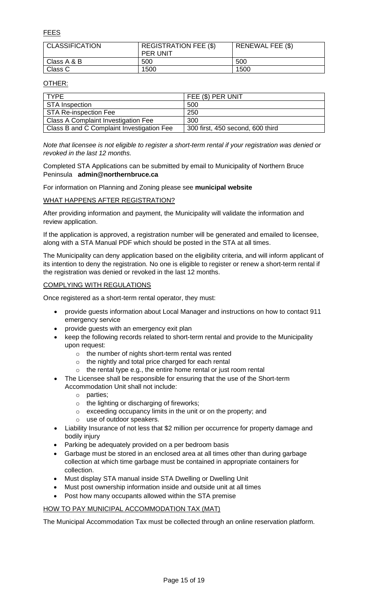FEES

| <b>CLASSIFICATION</b> | <b>REGISTRATION FEE (\$)</b><br><b>PER UNIT</b> | RENEWAL FEE (\$) |
|-----------------------|-------------------------------------------------|------------------|
| Class A & B           | 500                                             | 500              |
| Class C               | 1500                                            | 1500             |

## OTHER:

| <b>TYPE</b>                               | FEE (\$) PER UNIT                |
|-------------------------------------------|----------------------------------|
| STA Inspection                            | 500                              |
| STA Re-inspection Fee                     | 250                              |
| Class A Complaint Investigation Fee       | 300                              |
| Class B and C Complaint Investigation Fee | 300 first, 450 second, 600 third |

*Note that licensee is not eligible to register a short-term rental if your registration was denied or revoked in the last 12 months.*

Completed STA Applications can be submitted by email to Municipality of Northern Bruce Peninsula **admin@northernbruce.ca**

For information on Planning and Zoning please see **municipal website**

## WHAT HAPPENS AFTER REGISTRATION?

After providing information and payment, the Municipality will validate the information and review application.

If the application is approved, a registration number will be generated and emailed to licensee, along with a STA Manual PDF which should be posted in the STA at all times.

The Municipality can deny application based on the eligibility criteria, and will inform applicant of its intention to deny the registration. No one is eligible to register or renew a short-term rental if the registration was denied or revoked in the last 12 months.

### COMPLYING WITH REGULATIONS

Once registered as a short-term rental operator, they must:

- provide guests information about Local Manager and instructions on how to contact 911 emergency service
- provide guests with an emergency exit plan
- keep the following records related to short-term rental and provide to the Municipality upon request:
	- o the number of nights short-term rental was rented
	- o the nightly and total price charged for each rental
	- $\circ$  the rental type e.g., the entire home rental or just room rental
- The Licensee shall be responsible for ensuring that the use of the Short-term Accommodation Unit shall not include:
	- o parties;
	- o the lighting or discharging of fireworks;
	- o exceeding occupancy limits in the unit or on the property; and
	- o use of outdoor speakers.
- Liability Insurance of not less that \$2 million per occurrence for property damage and bodily injury
- Parking be adequately provided on a per bedroom basis
- Garbage must be stored in an enclosed area at all times other than during garbage collection at which time garbage must be contained in appropriate containers for collection.
- Must display STA manual inside STA Dwelling or Dwelling Unit
- Must post ownership information inside and outside unit at all times
- Post how many occupants allowed within the STA premise

### HOW TO PAY MUNICIPAL ACCOMMODATION TAX (MAT)

The Municipal Accommodation Tax must be collected through an online reservation platform.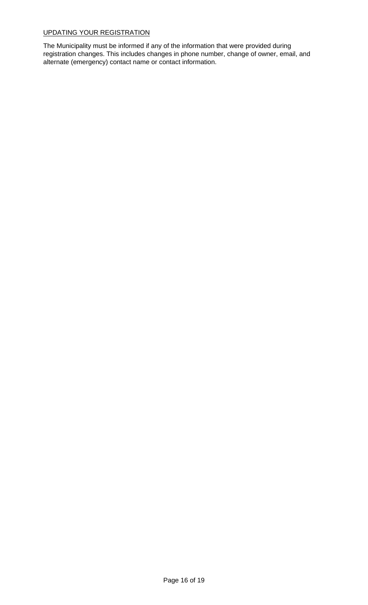# UPDATING YOUR REGISTRATION

The Municipality must be informed if any of the information that were provided during registration changes. This includes changes in phone number, change of owner, email, and alternate (emergency) contact name or contact information.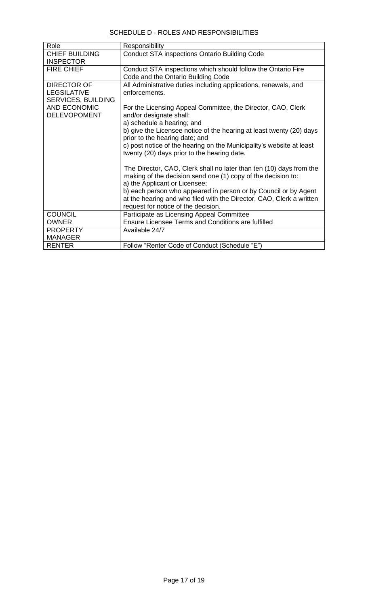# SCHEDULE D - ROLES AND RESPONSIBILITIES

| Role                                                           | Responsibility                                                                                                                                                                 |
|----------------------------------------------------------------|--------------------------------------------------------------------------------------------------------------------------------------------------------------------------------|
| <b>CHIEF BUILDING</b><br><b>INSPECTOR</b>                      | <b>Conduct STA inspections Ontario Building Code</b>                                                                                                                           |
| <b>FIRE CHIEF</b>                                              | Conduct STA inspections which should follow the Ontario Fire<br>Code and the Ontario Building Code                                                                             |
| <b>DIRECTOR OF</b><br><b>LEGSILATIVE</b><br>SERVICES, BUILDING | All Administrative duties including applications, renewals, and<br>enforcements.                                                                                               |
| <b>AND ECONOMIC</b><br><b>DELEVOPOMENT</b>                     | For the Licensing Appeal Committee, the Director, CAO, Clerk<br>and/or designate shall:<br>a) schedule a hearing; and                                                          |
|                                                                | b) give the Licensee notice of the hearing at least twenty (20) days<br>prior to the hearing date; and                                                                         |
|                                                                | c) post notice of the hearing on the Municipality's website at least<br>twenty (20) days prior to the hearing date.                                                            |
|                                                                | The Director, CAO, Clerk shall no later than ten (10) days from the<br>making of the decision send one (1) copy of the decision to:<br>a) the Applicant or Licensee;           |
|                                                                | b) each person who appeared in person or by Council or by Agent<br>at the hearing and who filed with the Director, CAO, Clerk a written<br>request for notice of the decision. |
| <b>COUNCIL</b>                                                 | Participate as Licensing Appeal Committee                                                                                                                                      |
| <b>OWNER</b>                                                   | Ensure Licensee Terms and Conditions are fulfilled                                                                                                                             |
| <b>PROPERTY</b>                                                | Available 24/7                                                                                                                                                                 |
| <b>MANAGER</b>                                                 |                                                                                                                                                                                |
| <b>RENTER</b>                                                  | Follow "Renter Code of Conduct (Schedule "E")                                                                                                                                  |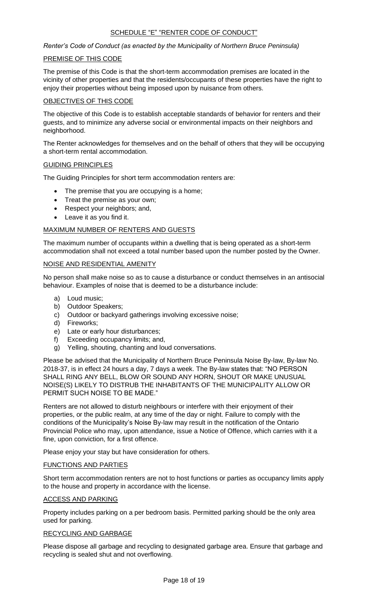## SCHEDULE "E" "RENTER CODE OF CONDUCT"

### *Renter's Code of Conduct (as enacted by the Municipality of Northern Bruce Peninsula)*

#### PREMISE OF THIS CODE

The premise of this Code is that the short-term accommodation premises are located in the vicinity of other properties and that the residents/occupants of these properties have the right to enjoy their properties without being imposed upon by nuisance from others.

#### OBJECTIVES OF THIS CODE

The objective of this Code is to establish acceptable standards of behavior for renters and their guests, and to minimize any adverse social or environmental impacts on their neighbors and neighborhood.

The Renter acknowledges for themselves and on the behalf of others that they will be occupying a short-term rental accommodation.

#### GUIDING PRINCIPLES

The Guiding Principles for short term accommodation renters are:

- The premise that you are occupying is a home;
- Treat the premise as your own;
- Respect your neighbors; and,
- Leave it as you find it.

### MAXIMUM NUMBER OF RENTERS AND GUESTS

The maximum number of occupants within a dwelling that is being operated as a short-term accommodation shall not exceed a total number based upon the number posted by the Owner.

#### NOISE AND RESIDENTIAL AMENITY

No person shall make noise so as to cause a disturbance or conduct themselves in an antisocial behaviour. Examples of noise that is deemed to be a disturbance include:

- a) Loud music;
- b) Outdoor Speakers;
- c) Outdoor or backyard gatherings involving excessive noise;
- d) Fireworks;
- e) Late or early hour disturbances;
- f) Exceeding occupancy limits; and,
- g) Yelling, shouting, chanting and loud conversations.

Please be advised that the Municipality of Northern Bruce Peninsula Noise By-law, By-law No. 2018-37, is in effect 24 hours a day, 7 days a week. The By-law states that: "NO PERSON SHALL RING ANY BELL, BLOW OR SOUND ANY HORN, SHOUT OR MAKE UNUSUAL NOISE(S) LIKELY TO DISTRUB THE INHABITANTS OF THE MUNICIPALITY ALLOW OR PERMIT SUCH NOISE TO BE MADE."

Renters are not allowed to disturb neighbours or interfere with their enjoyment of their properties, or the public realm, at any time of the day or night. Failure to comply with the conditions of the Municipality's Noise By-law may result in the notification of the Ontario Provincial Police who may, upon attendance, issue a Notice of Offence, which carries with it a fine, upon conviction, for a first offence.

Please enjoy your stay but have consideration for others.

#### FUNCTIONS AND PARTIES

Short term accommodation renters are not to host functions or parties as occupancy limits apply to the house and property in accordance with the license.

#### ACCESS AND PARKING

Property includes parking on a per bedroom basis. Permitted parking should be the only area used for parking.

#### RECYCLING AND GARBAGE

Please dispose all garbage and recycling to designated garbage area. Ensure that garbage and recycling is sealed shut and not overflowing.